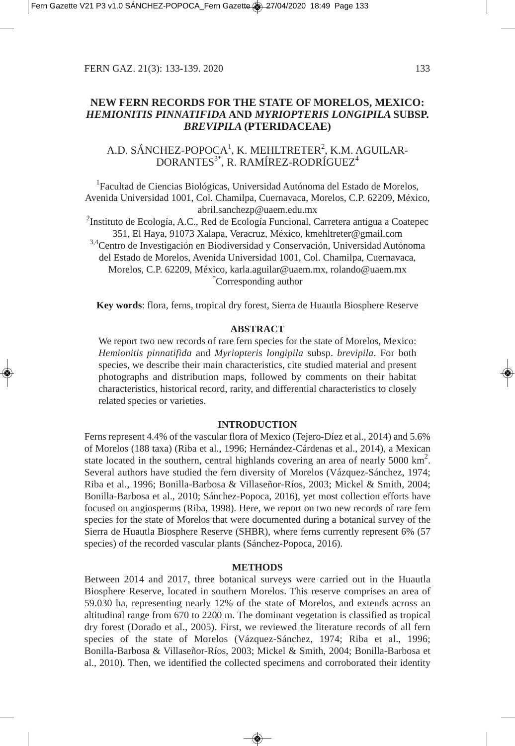## **NEW FERN RECORDS FOR THE STATE OF MORELOS, MEXICO:** *HEMIONITIS PINNATIFIDA* **AND** *MYRIOPTERIS LONGIPILA* **SUBSP.** *BREVIPILA* **(PTERIDACEAE)**

# A.D. SÁNCHEZ-POPOCA $^1$ , K. MEHLTRETER $^2$ , K.M. AGUILAR-DORANTES<sup>3\*</sup>, R. RAMÍREZ-RODRÍGUEZ<sup>4</sup>

<sup>1</sup>Facultad de Ciencias Biológicas, Universidad Autónoma del Estado de Morelos, Avenida Universidad 1001, Col. Chamilpa, Cuernavaca, Morelos, C.P. 62209, México, abril.sanchezp@uaem.edu.mx

<sup>2</sup>Instituto de Ecología, A.C., Red de Ecología Funcional, Carretera antigua a Coatepec 351, El Haya, 91073 Xalapa, Veracruz, México, kmehltreter@gmail.com 3,4Centro de Investigación en Biodiversidad y Conservación, Universidad Autónoma del Estado de Morelos, Avenida Universidad 1001, Col. Chamilpa, Cuernavaca, Morelos, C.P. 62209, México, karla.aguilar@uaem.mx, rolando@uaem.mx \* Corresponding author

**Key words**: flora, ferns, tropical dry forest, Sierra de Huautla Biosphere Reserve

#### **ABSTRACT**

We report two new records of rare fern species for the state of Morelos, Mexico: *Hemionitis pinnatifida* and *Myriopteris longipila* subsp. *brevipila*. For both species, we describe their main characteristics, cite studied material and present photographs and distribution maps, followed by comments on their habitat characteristics, historical record, rarity, and differential characteristics to closely related species or varieties.

#### **INTRODUCTION**

Ferns represent 4.4% of the vascular flora of Mexico (Tejero-Díez et al., 2014) and 5.6% of Morelos (188 taxa) (Riba et al., 1996; Hernández-Cárdenas et al., 2014), a Mexican state located in the southern, central highlands covering an area of nearly  $5000 \text{ km}^2$ . Several authors have studied the fern diversity of Morelos (Vázquez-Sánchez, 1974; Riba et al., 1996; Bonilla-Barbosa & Villaseñor-Ríos, 2003; Mickel & Smith, 2004; Bonilla-Barbosa et al., 2010; Sánchez-Popoca, 2016), yet most collection efforts have focused on angiosperms (Riba, 1998). Here, we report on two new records of rare fern species for the state of Morelos that were documented during a botanical survey of the Sierra de Huautla Biosphere Reserve (SHBR), where ferns currently represent 6% (57 species) of the recorded vascular plants (Sánchez-Popoca, 2016).

#### **METHODS**

Between 2014 and 2017, three botanical surveys were carried out in the Huautla Biosphere Reserve, located in southern Morelos. This reserve comprises an area of 59.030 ha, representing nearly 12% of the state of Morelos, and extends across an altitudinal range from 670 to 2200 m. The dominant vegetation is classified as tropical dry forest (Dorado et al., 2005). First, we reviewed the literature records of all fern species of the state of Morelos (Vázquez-Sánchez, 1974; Riba et al., 1996; Bonilla-Barbosa & Villaseñor-Ríos, 2003; Mickel & Smith, 2004; Bonilla-Barbosa et al., 2010). Then, we identified the collected specimens and corroborated their identity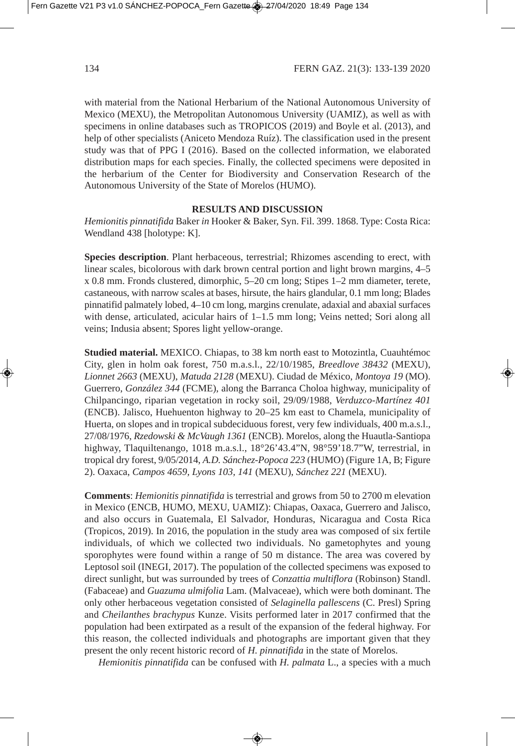with material from the National Herbarium of the National Autonomous University of Mexico (MEXU), the Metropolitan Autonomous University (UAMIZ), as well as with specimens in online databases such as TROPICOS (2019) and Boyle et al. (2013), and help of other specialists (Aniceto Mendoza Ruíz). The classification used in the present study was that of PPG I (2016). Based on the collected information, we elaborated distribution maps for each species. Finally, the collected specimens were deposited in the herbarium of the Center for Biodiversity and Conservation Research of the Autonomous University of the State of Morelos (HUMO).

## **RESULTS AND DISCUSSION**

*Hemionitis pinnatifida* Baker *in* Hooker & Baker, Syn. Fil. 399. 1868. Type: Costa Rica: Wendland 438 [holotype: K].

**Species description**. Plant herbaceous, terrestrial; Rhizomes ascending to erect, with linear scales, bicolorous with dark brown central portion and light brown margins, 4–5 x 0.8 mm. Fronds clustered, dimorphic, 5–20 cm long; Stipes 1–2 mm diameter, terete, castaneous, with narrow scales at bases, hirsute, the hairs glandular, 0.1 mm long; Blades pinnatifid palmately lobed, 4–10 cm long, margins crenulate, adaxial and abaxial surfaces with dense, articulated, acicular hairs of 1–1.5 mm long; Veins netted; Sori along all veins; Indusia absent; Spores light yellow-orange.

**Studied material.** MEXICO. Chiapas, to 38 km north east to Motozintla, Cuauhtémoc City, glen in holm oak forest, 750 m.a.s.l., 22/10/1985, *Breedlove 38432* (MEXU), *Lionnet 2663* (MEXU), *Matuda 2128* (MEXU). Ciudad de México, *Montoya 19* (MO). Guerrero, *González 344* (FCME), along the Barranca Choloa highway, municipality of Chilpancingo, riparian vegetation in rocky soil, 29/09/1988, *Verduzco-Martínez 401* (ENCB). Jalisco, Huehuenton highway to 20–25 km east to Chamela, municipality of Huerta, on slopes and in tropical subdeciduous forest, very few individuals, 400 m.a.s.l., 27/08/1976, *Rzedowski & McVaugh 1361* (ENCB). Morelos, along the Huautla-Santiopa highway, Tlaquiltenango, 1018 m.a.s.l., 18°26'43.4"N, 98°59'18.7"W, terrestrial, in tropical dry forest, 9/05/2014, *A.D. Sánchez-Popoca 223* (HUMO) (Figure 1A, B; Figure 2). Oaxaca, *Campos 4659, Lyons 103, 141* (MEXU), *Sánchez 221* (MEXU).

**Comments**: *Hemionitis pinnatifida* is terrestrial and grows from 50 to 2700 m elevation in Mexico (ENCB, HUMO, MEXU, UAMIZ): Chiapas, Oaxaca, Guerrero and Jalisco, and also occurs in Guatemala, El Salvador, Honduras, Nicaragua and Costa Rica (Tropicos, 2019). In 2016, the population in the study area was composed of six fertile individuals, of which we collected two individuals. No gametophytes and young sporophytes were found within a range of 50 m distance. The area was covered by Leptosol soil (INEGI, 2017). The population of the collected specimens was exposed to direct sunlight, but was surrounded by trees of *Conzattia multiflora* (Robinson) Standl. (Fabaceae) and *Guazuma ulmifolia* Lam. (Malvaceae), which were both dominant. The only other herbaceous vegetation consisted of *Selaginella pallescens* (C. Presl) Spring and *Cheilanthes brachypus* Kunze. Visits performed later in 2017 confirmed that the population had been extirpated as a result of the expansion of the federal highway. For this reason, the collected individuals and photographs are important given that they present the only recent historic record of *H. pinnatifida* in the state of Morelos.

*Hemionitis pinnatifida* can be confused with *H. palmata* L., a species with a much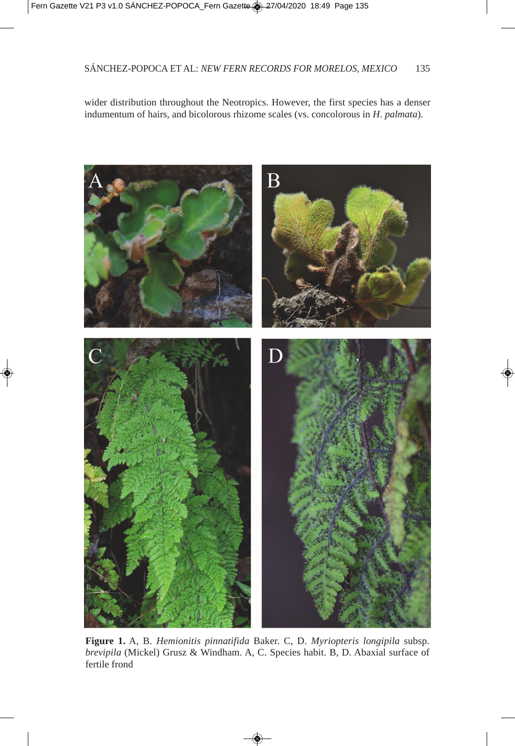wider distribution throughout the Neotropics. However, the first species has a denser indumentum of hairs, and bicolorous rhizome scales (vs. concolorous in *H*. *palmata*).



**Figure 1.** A, B. *Hemionitis pinnatifida* Baker. C, D. *Myriopteris longipila* subsp. *brevipila* (Mickel) Grusz & Windham. A, C. Species habit. B, D. Abaxial surface of fertile frond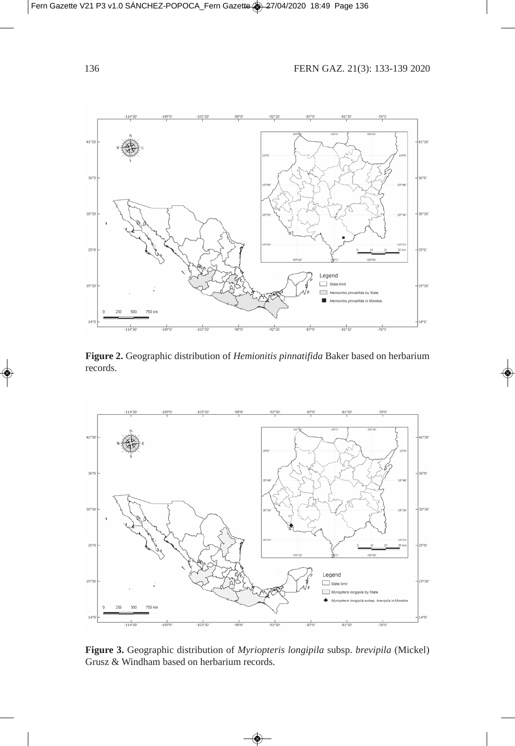

**Figure 2.** Geographic distribution of *Hemionitis pinnatifida* Baker based on herbarium records.



**Figure 3.** Geographic distribution of *Myriopteris longipila* subsp. *brevipila* (Mickel) Grusz & Windham based on herbarium records.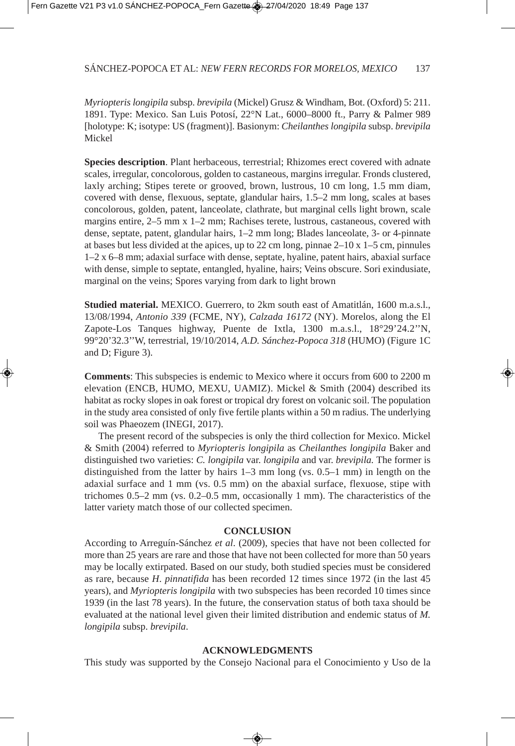*Myriopteris longipila* subsp. *brevipila* (Mickel) Grusz & Windham, Bot. (Oxford) 5: 211. 1891. Type: Mexico. San Luis Potosí, 22°N Lat., 6000–8000 ft., Parry & Palmer 989 [holotype: K; isotype: US (fragment)]. Basionym: *Cheilanthes longipila* subsp. *brevipila* Mickel

**Species description**. Plant herbaceous, terrestrial; Rhizomes erect covered with adnate scales, irregular, concolorous, golden to castaneous, margins irregular. Fronds clustered, laxly arching; Stipes terete or grooved, brown, lustrous, 10 cm long, 1.5 mm diam, covered with dense, flexuous, septate, glandular hairs, 1.5–2 mm long, scales at bases concolorous, golden, patent, lanceolate, clathrate, but marginal cells light brown, scale margins entire, 2–5 mm x 1–2 mm; Rachises terete, lustrous, castaneous, covered with dense, septate, patent, glandular hairs, 1–2 mm long; Blades lanceolate, 3- or 4-pinnate at bases but less divided at the apices, up to 22 cm long, pinnae  $2-10 \times 1-5$  cm, pinnules 1–2 x 6–8 mm; adaxial surface with dense, septate, hyaline, patent hairs, abaxial surface with dense, simple to septate, entangled, hyaline, hairs; Veins obscure. Sori exindusiate, marginal on the veins; Spores varying from dark to light brown

**Studied material.** MEXICO. Guerrero, to 2km south east of Amatitlán, 1600 m.a.s.l., 13/08/1994, *Antonio 339* (FCME, NY), *Calzada 16172* (NY). Morelos, along the El Zapote-Los Tanques highway, Puente de Ixtla, 1300 m.a.s.l., 18°29'24.2''N, 99°20'32.3''W, terrestrial, 19/10/2014, *A.D. Sánchez-Popoca 318* (HUMO) (Figure 1C and D; Figure 3).

**Comments**: This subspecies is endemic to Mexico where it occurs from 600 to 2200 m elevation (ENCB, HUMO, MEXU, UAMIZ). Mickel & Smith (2004) described its habitat as rocky slopes in oak forest or tropical dry forest on volcanic soil. The population in the study area consisted of only five fertile plants within a 50 m radius. The underlying soil was Phaeozem (INEGI, 2017).

The present record of the subspecies is only the third collection for Mexico. Mickel & Smith (2004) referred to *Myriopteris longipila* as *Cheilanthes longipila* Baker and distinguished two varieties: *C. longipila* var. *longipila* and var. *brevipila.* The former is distinguished from the latter by hairs 1–3 mm long (vs. 0.5–1 mm) in length on the adaxial surface and 1 mm (vs. 0.5 mm) on the abaxial surface, flexuose, stipe with trichomes 0.5–2 mm (vs. 0.2–0.5 mm, occasionally 1 mm). The characteristics of the latter variety match those of our collected specimen.

## **CONCLUSION**

According to Arreguín-Sánchez *et al*. (2009), species that have not been collected for more than 25 years are rare and those that have not been collected for more than 50 years may be locally extirpated. Based on our study, both studied species must be considered as rare, because *H*. *pinnatifida* has been recorded 12 times since 1972 (in the last 45 years), and *Myriopteris longipila* with two subspecies has been recorded 10 times since 1939 (in the last 78 years). In the future, the conservation status of both taxa should be evaluated at the national level given their limited distribution and endemic status of *M. longipila* subsp. *brevipila*.

#### **ACKNOWLEDGMENTS**

This study was supported by the Consejo Nacional para el Conocimiento y Uso de la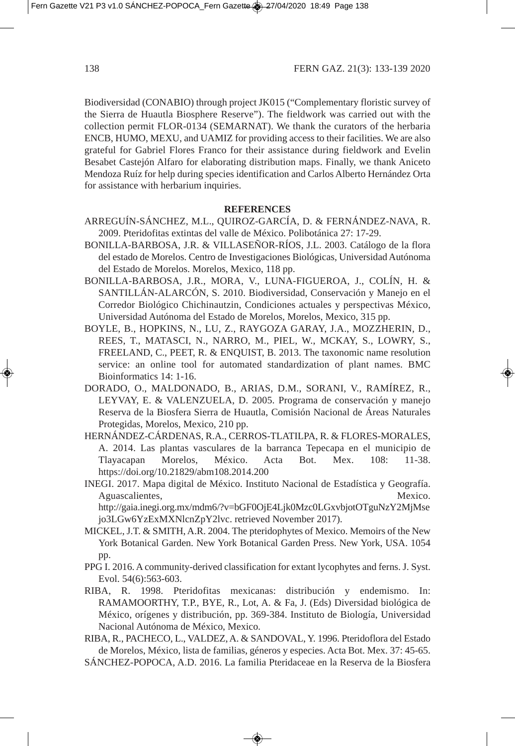Biodiversidad (CONABIO) through project JK015 ("Complementary floristic survey of the Sierra de Huautla Biosphere Reserve"). The fieldwork was carried out with the collection permit FLOR-0134 (SEMARNAT). We thank the curators of the herbaria ENCB, HUMO, MEXU, and UAMIZ for providing access to their facilities. We are also grateful for Gabriel Flores Franco for their assistance during fieldwork and Evelin Besabet Castejón Alfaro for elaborating distribution maps. Finally, we thank Aniceto Mendoza Ruíz for help during species identification and Carlos Alberto Hernández Orta for assistance with herbarium inquiries.

## **REFERENCES**

- ARREGUÍN-SÁNCHEZ, M.L., QUIROZ-GARCÍA, D. & FERNÁNDEZ-NAVA, R. 2009. Pteridofitas extintas del valle de México. Polibotánica 27: 17-29.
- BONILLA-BARBOSA, J.R. & VILLASEÑOR-RÍOS, J.L. 2003. Catálogo de la flora del estado de Morelos. Centro de Investigaciones Biológicas, Universidad Autónoma del Estado de Morelos. Morelos, Mexico, 118 pp.
- BONILLA-BARBOSA, J.R., MORA, V., LUNA-FIGUEROA, J., COLÍN, H. & SANTILLÁN-ALARCÓN, S. 2010. Biodiversidad, Conservación y Manejo en el Corredor Biológico Chichinautzin, Condiciones actuales y perspectivas México, Universidad Autónoma del Estado de Morelos, Morelos, Mexico, 315 pp.
- BOYLE, B., HOPKINS, N., LU, Z., RAYGOZA GARAY, J.A., MOZZHERIN, D., REES, T., MATASCI, N., NARRO, M., PIEL, W., MCKAY, S., LOWRY, S., FREELAND, C., PEET, R. & ENQUIST, B. 2013. The taxonomic name resolution service: an online tool for automated standardization of plant names. BMC Bioinformatics 14: 1-16.
- DORADO, O., MALDONADO, B., ARIAS, D.M., SORANI, V., RAMÍREZ, R., LEYVAY, E. & VALENZUELA, D. 2005. Programa de conservación y manejo Reserva de la Biosfera Sierra de Huautla, Comisión Nacional de Áreas Naturales Protegidas, Morelos, Mexico, 210 pp.
- HERNÁNDEZ-CÁRDENAS, R.A., CERROS-TLATILPA, R. & FLORES-MORALES, A. 2014. Las plantas vasculares de la barranca Tepecapa en el municipio de Tlayacapan Morelos, México. Acta Bot. Mex. 108: 11-38. https://doi.org/10.21829/abm108.2014.200
- INEGI. 2017. Mapa digital de México. Instituto Nacional de Estadística y Geografía. Aguascalientes, Mexico. http://gaia.inegi.org.mx/mdm6/?v=bGF0OjE4Ljk0Mzc0LGxvbjotOTguNzY2MjMse jo3LGw6YzExMXNlcnZpY2lvc. retrieved November 2017).
- MICKEL, J.T. & SMITH, A.R. 2004. The pteridophytes of Mexico. Memoirs of the New York Botanical Garden. New York Botanical Garden Press. New York, USA. 1054 pp.
- PPG I. 2016. A community-derived classification for extant lycophytes and ferns. J. Syst. Evol. 54(6):563-603.
- RIBA, R. 1998. Pteridofitas mexicanas: distribución y endemismo. In: RAMAMOORTHY, T.P., BYE, R., Lot, A. & Fa, J. (Eds) Diversidad biológica de México, orígenes y distribución, pp. 369-384. Instituto de Biología, Universidad Nacional Autónoma de México, Mexico.
- RIBA, R., PACHECO, L., VALDEZ, A. & SANDOVAL, Y. 1996. Pteridoflora del Estado de Morelos, México, lista de familias, géneros y especies. Acta Bot. Mex. 37: 45-65.
- SÁNCHEZ-POPOCA, A.D. 2016. La familia Pteridaceae en la Reserva de la Biosfera